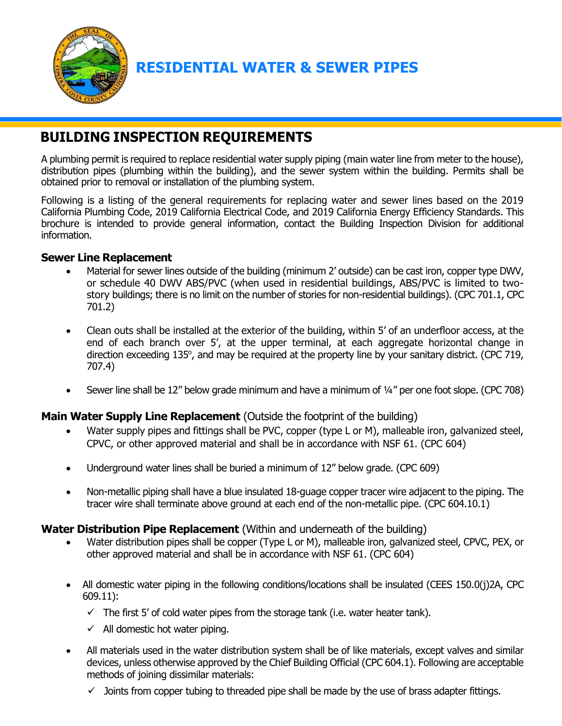

# **RESIDENTIAL WATER & SEWER PIPES**

# **BUILDING INSPECTION REQUIREMENTS**

A plumbing permit is required to replace residential water supply piping (main water line from meter to the house), distribution pipes (plumbing within the building), and the sewer system within the building. Permits shall be obtained prior to removal or installation of the plumbing system.

Following is a listing of the general requirements for replacing water and sewer lines based on the 2019 California Plumbing Code, 2019 California Electrical Code, and 2019 California Energy Efficiency Standards. This brochure is intended to provide general information, contact the Building Inspection Division for additional information.

### **Sewer Line Replacement**

- Material for sewer lines outside of the building (minimum 2' outside) can be cast iron, copper type DWV, or schedule 40 DWV ABS/PVC (when used in residential buildings, ABS/PVC is limited to twostory buildings; there is no limit on the number of stories for non-residential buildings). (CPC 701.1, CPC 701.2)
- Clean outs shall be installed at the exterior of the building, within 5' of an underfloor access, at the end of each branch over 5', at the upper terminal, at each aggregate horizontal change in direction exceeding 135°, and may be required at the property line by your sanitary district. (CPC 719, 707.4)
- Sewer line shall be 12" below grade minimum and have a minimum of ¼" per one foot slope. (CPC 708)

### **Main Water Supply Line Replacement** (Outside the footprint of the building)

- Water supply pipes and fittings shall be PVC, copper (type L or M), malleable iron, galvanized steel, CPVC, or other approved material and shall be in accordance with NSF 61. (CPC 604)
- Underground water lines shall be buried a minimum of 12" below grade. (CPC 609)
- Non-metallic piping shall have a blue insulated 18-guage copper tracer wire adjacent to the piping. The tracer wire shall terminate above ground at each end of the non-metallic pipe. (CPC 604.10.1)

### **Water Distribution Pipe Replacement** (Within and underneath of the building)

- Water distribution pipes shall be copper (Type L or M), malleable iron, galvanized steel, CPVC, PEX, or other approved material and shall be in accordance with NSF 61. (CPC 604)
- All domestic water piping in the following conditions/locations shall be insulated (CEES 150.0(j)2A, CPC 609.11):
	- $\checkmark$  The first 5' of cold water pipes from the storage tank (i.e. water heater tank).
	- $\checkmark$  All domestic hot water piping.
- All materials used in the water distribution system shall be of like materials, except valves and similar devices, unless otherwise approved by the Chief Building Official (CPC 604.1). Following are acceptable methods of joining dissimilar materials:
	- $\checkmark$  Joints from copper tubing to threaded pipe shall be made by the use of brass adapter fittings.